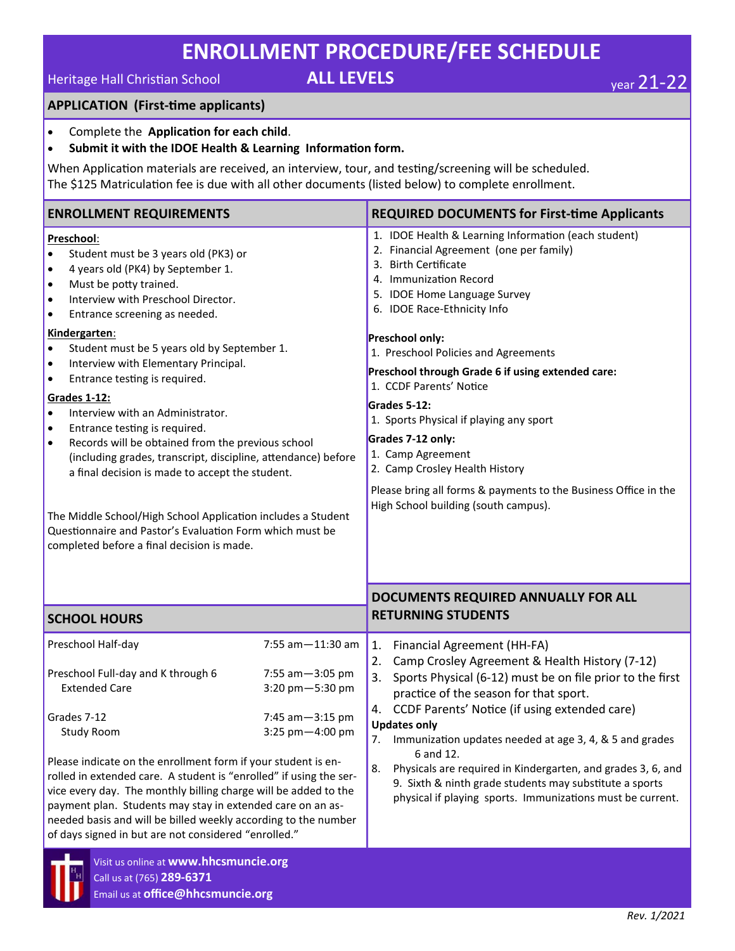# **ENROLLMENT PROCEDURE/FEE SCHEDULE**

# **Heritage Hall Christian School ALL LEVELS We are 21-22**

### **APPLICATION (First-time applicants)**

- Complete the **Application for each child**.
- **Submit it with the IDOE Health & Learning Information form.**

When Application materials are received, an interview, tour, and testing/screening will be scheduled. The \$125 Matriculation fee is due with all other documents (listed below) to complete enrollment.

| <b>ENROLLMENT REQUIREMENTS</b>                                                                                                                                                                                                                                                                                                                                                                                                                                                                                                                                                                                                                                                                                                                                                                                                                                                                                           |                  | <b>REQUIRED DOCUMENTS for First-time Applicants</b>                                                                                                                                                                                                                                                                                                                                                                                                                                                                                                                                                                     |  |
|--------------------------------------------------------------------------------------------------------------------------------------------------------------------------------------------------------------------------------------------------------------------------------------------------------------------------------------------------------------------------------------------------------------------------------------------------------------------------------------------------------------------------------------------------------------------------------------------------------------------------------------------------------------------------------------------------------------------------------------------------------------------------------------------------------------------------------------------------------------------------------------------------------------------------|------------------|-------------------------------------------------------------------------------------------------------------------------------------------------------------------------------------------------------------------------------------------------------------------------------------------------------------------------------------------------------------------------------------------------------------------------------------------------------------------------------------------------------------------------------------------------------------------------------------------------------------------------|--|
| Preschool:<br>Student must be 3 years old (PK3) or<br>$\bullet$<br>4 years old (PK4) by September 1.<br>$\bullet$<br>Must be potty trained.<br>$\bullet$<br>Interview with Preschool Director.<br>$\bullet$<br>Entrance screening as needed.<br>$\bullet$<br>Kindergarten:<br>Student must be 5 years old by September 1.<br>$\bullet$<br>Interview with Elementary Principal.<br>$\bullet$<br>Entrance testing is required.<br>$\bullet$<br>Grades 1-12:<br>Interview with an Administrator.<br>$\bullet$<br>Entrance testing is required.<br>$\bullet$<br>Records will be obtained from the previous school<br>$\bullet$<br>(including grades, transcript, discipline, attendance) before<br>a final decision is made to accept the student.<br>The Middle School/High School Application includes a Student<br>Questionnaire and Pastor's Evaluation Form which must be<br>completed before a final decision is made. |                  | 1. IDOE Health & Learning Information (each student)<br>2. Financial Agreement (one per family)<br><b>Birth Certificate</b><br>3.<br>4. Immunization Record<br>5. IDOE Home Language Survey<br>6. IDOE Race-Ethnicity Info<br>Preschool only:<br>1. Preschool Policies and Agreements<br>Preschool through Grade 6 if using extended care:<br>1. CCDF Parents' Notice<br>Grades 5-12:<br>1. Sports Physical if playing any sport<br>Grades 7-12 only:<br>1. Camp Agreement<br>2. Camp Crosley Health History<br>Please bring all forms & payments to the Business Office in the<br>High School building (south campus). |  |
| <b>SCHOOL HOURS</b>                                                                                                                                                                                                                                                                                                                                                                                                                                                                                                                                                                                                                                                                                                                                                                                                                                                                                                      |                  | DOCUMENTS REQUIRED ANNUALLY FOR ALL<br><b>RETURNING STUDENTS</b>                                                                                                                                                                                                                                                                                                                                                                                                                                                                                                                                                        |  |
| Preschool Half-day                                                                                                                                                                                                                                                                                                                                                                                                                                                                                                                                                                                                                                                                                                                                                                                                                                                                                                       | 7:55 am-11:30 am |                                                                                                                                                                                                                                                                                                                                                                                                                                                                                                                                                                                                                         |  |
| Preschool Full-day and K through 6<br>7:55 am - 3:05 pm<br><b>Extended Care</b><br>3:20 pm-5:30 pm<br>Grades 7-12<br>7:45 am-3:15 pm<br><b>Study Room</b><br>3:25 pm-4:00 pm<br>Please indicate on the enrollment form if your student is en-<br>rolled in extended care. A student is "enrolled" if using the ser-<br>vice every day. The monthly billing charge will be added to the<br>payment plan. Students may stay in extended care on an as-<br>needed basis and will be billed weekly according to the number<br>of days signed in but are not considered "enrolled."<br>Visit us online at www.hhcsmuncie.org                                                                                                                                                                                                                                                                                                  |                  | 1.<br>Financial Agreement (HH-FA)<br>2.<br>Camp Crosley Agreement & Health History (7-12)<br>Sports Physical (6-12) must be on file prior to the first<br>3.<br>practice of the season for that sport.<br>CCDF Parents' Notice (if using extended care)<br>4.<br><b>Updates only</b><br>$\overline{2}$ .<br>Immunization updates needed at age 3, 4, & 5 and grades<br>6 and 12.<br>8.<br>Physicals are required in Kindergarten, and grades 3, 6, and<br>9. Sixth & ninth grade students may substitute a sports<br>physical if playing sports. Immunizations must be current.                                         |  |
| Call us at (765) 289-6371<br>Email us at office@hhcsmuncie.org                                                                                                                                                                                                                                                                                                                                                                                                                                                                                                                                                                                                                                                                                                                                                                                                                                                           |                  |                                                                                                                                                                                                                                                                                                                                                                                                                                                                                                                                                                                                                         |  |